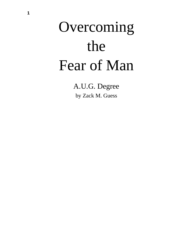# Overcoming the Fear of Man

A.U.G. Degree by Zack M. Guess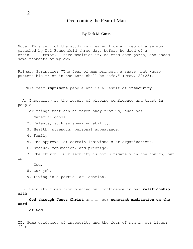# Overcoming the Fear of Man

#### By Zack M. Guess

Note: This part of the study is gleaned from a video of a sermon preached by Del Fehsenfeld three days before he died of a brain tumor. I have modified it, deleted some parts, and added some thoughts of my own.

Primary Scripture: "The fear of man bringeth a snare: but whoso putteth his trust in the Lord shall be safe." (Prov. 29:25).

I. This fear **imprisons** people and is a result of **insecurity**.

A. Insecurity is the result of placing confidence and trust in people

or things that can be taken away from us, such as:

- 1. Material goods.
- 2. Talents, such as speaking ability.
- 3. Health, strength, personal appearance.
- 4. Family
- 5. The approval of certain individuals or organizations.
- 6. Status, reputation, and prestige.

7. The church. Our security is not ultimately in the church, but in

God.

9. Living in a particular location.

B. Security comes from placing our confidence in our **relationship with**

**God through Jesus Christ** and in our **constant meditation on the word**

**of God.**

II. Some evidences of insecurity and the fear of man in our lives: (for

<sup>8.</sup> Our job.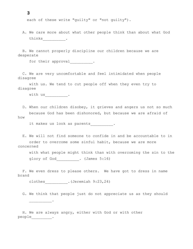each of these write "guilty" or "not guilty").

A. We care more about what other people think than about what God thinks  $\frac{\phantom{1}}{\phantom{1}}$ .

B. We cannot properly discipline our children because we are desperate

for their approval  $\qquad \qquad$ 

C. We are very uncomfortable and feel intimidated when people disagree

with us. We tend to cut people off when they even try to disagree

with us .

\_\_\_\_\_\_\_\_\_\_.

D. When our children disobey, it grieves and angers us not so much because God has been dishonored, but because we are afraid of how

it makes us look as parents .

E. We will not find someone to confide in and be accountable to in order to overcome some sinful habit, because we are more concerned

with what people might think than with overcoming the sin to the glory of God [100]. (James 5:16)

F. We even dress to please others. We have got to dress in name brand

clothes . (Jeremiah 9:23,24)

G. We think that people just do not appreciate us as they should

H. We are always angry, either with God or with other people\_\_\_\_\_\_\_\_\_\_.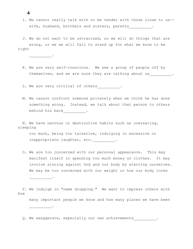I. We cannot really talk with or be tender with those close to us- wife, husband, brothers and sisters, parents .

J. We do not want to be ostracized, so we will do things that are wrong, or we we will fail to stand up for what we know to be right

K. We are very self-conscious. We see a group of people off by themselves, and we are sure they are talking about us \_\_\_\_\_\_\_\_\_.

L. We are very critical of others\_\_\_\_\_\_\_\_\_\_.

M. We cannot confront someone privately when we think he has done something wrong. Instead, we talk about that person to others behind his back\_\_\_\_\_\_\_\_\_\_.

N. We have nervous or destructive habits such as overeating, sleeping

too much, being too talkative, indulging in excessive or inappropriate laughter, etc.\_\_\_\_\_\_\_\_\_\_.

O. We are too concerned with our personal appearance. This may manifest itself in spending too much money on clothes. It may involve sinning against God and our body by starving ourselves. We may be too concerned with our weight or how our body looks

P. We indulge in "name dropping." We want to impress others with how many important people we know and how many places we have been \_\_\_\_\_\_\_\_\_\_.

Q. We exaggerate, especially our own achievements .

**4**

 $\overline{\phantom{a}}$   $\overline{\phantom{a}}$   $\overline{\phantom{a}}$   $\overline{\phantom{a}}$   $\overline{\phantom{a}}$   $\overline{\phantom{a}}$   $\overline{\phantom{a}}$   $\overline{\phantom{a}}$   $\overline{\phantom{a}}$   $\overline{\phantom{a}}$   $\overline{\phantom{a}}$   $\overline{\phantom{a}}$   $\overline{\phantom{a}}$   $\overline{\phantom{a}}$   $\overline{\phantom{a}}$   $\overline{\phantom{a}}$   $\overline{\phantom{a}}$   $\overline{\phantom{a}}$   $\overline{\$ 

\_\_\_\_\_\_\_\_\_\_.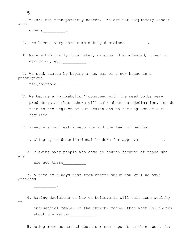R. We are not transparently honest. We are not completely honest with

others\_\_\_\_\_\_\_\_\_\_\_.

S. We have a very hard time making decisions\_\_\_\_\_\_\_\_\_\_.

T. We are habitually frustrated, grouchy, discontented, given to murmuring, etc.\_\_\_\_\_\_\_\_\_\_.

U. We seek status by buying a new car or a new house in a prestigious

neighborhood\_\_\_\_\_\_\_\_\_\_.

V. We become a "workaholic," consumed with the need to be very productive so that others will talk about our dedication. We do this to the neglect of our health and to the neglect of our families<sub>\_\_\_\_\_\_\_\_\_\_\_</sub>.

W. Preachers manifest insecurity and the fear of man by:

1. Clinging to denominational leaders for approval .

2. Blowing away people who come to church because of those who are

are not there \_\_\_\_\_\_\_\_\_\_.

\_\_\_\_\_\_\_\_\_\_.

3. A need to always hear from others about how well we have preached

4. Basing decisions on how we believe it will suit some wealthy or influential member of the church, rather than what God thinks about the matter\_\_\_\_\_\_\_\_\_\_\_\_.

5. Being more concerned about our own reputation than about the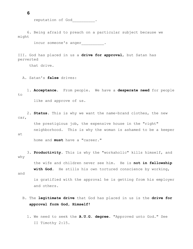reputation of God .

6. Being afraid to preach on a particular subject because we might

incur someone's anger .

III. God has placed in us a **drive for approval**, but Satan has perverted

that drive.

A. Satan's **false** drives:

1. **Acceptance**. From people. We have a **desperate need** for people to

like and approve of us.

2. **Status**. This is why we want the name-brand clothes, the new car,

the prestigious job, the expensive house in the "right" neighborhood. This is why the woman is ashamed to be a keeper

at

home and **must** have a "career."

3. **Productivity**. This is why the "workaholic" kills himself, and why

> the wife and children never see him. He is **not in fellowship with God**. He stills his own tortured conscience by working,

and

is gratified with the approval he is getting from his employer and others.

- B. The **legitimate drive** that God has placed in us is the **drive for approval form God, Himself!**
	- 1. We need to seek the **A.U.G. degree**. "Approved unto God." See II Timothy 2:15.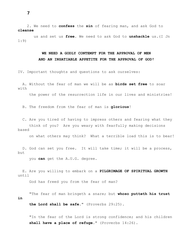**cleanse**

based

us and set us **free**. We need to ask God to **unshackle** us.(I Jn 1:9)

2. We need to **confess** the **sin** of fearing man, and ask God to

# **WE NEED A GODLY CONTEMPT FOR THE APPROVAL OF MEN AND AN INSATIABLE APPETITE FOR THE APPROVAL OF GOD!**

IV. Important thoughts and questions to ask ourselves:

A. Without the fear of man we will be as **birds set free** to soar with

the power of the resurrection life in our lives and ministries!

B. The freedom from the fear of man is **glorious**!

C. Are you tired of having to impress others and fearing what they think of you? Are you weary with fearfully making decisions

on what others may think? What a terrible load this is to bear!

D. God can set you free. It will take time; it will be a process, but

you **can** get the A.U.G. degree.

E. Are you willing to embark on a **PILGRIMAGE OF SPIRITUAL GROWTH**  until

God has freed you from the fear of man?

"The fear of man bringeth a snare; but **whoso putteth his trust in**

**the Lord shall be safe**." (Proverbs 29:25).

"In the fear of the Lord is strong confidence; and his children **shall have a place of refuge**." (Proverbs 14:26).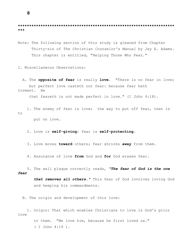**\*\*\*\*\*\*\*\*\*\*\*\*\*\*\*\*\*\*\*\*\*\*\*\*\*\*\*\*\*\*\*\*\*\*\*\*\*\*\*\*\*\*\*\*\*\*\*\*\*\*\*\*\*\*\*\*\*\*\*\*\*\*\*\*\*\*\*\*\* \*\*\***

Note: The following section of this study is gleaned from Chapter Thirty-six of *The Christian Counselor's Manual* by Jay E. Adams. This chapter is entitled, "Helping Those Who Fear."

I. Miscellaneous Observations:

A. The **opposite of fear** is really **love**. "There is no fear in love; but perfect love casteth out fear: because fear hath torment. He

that feareth is not made perfect in love." (I John 4:18).

1. The enemy of fear is love; the way to put off fear, then is to

put on love.

2. Love is **self-giving**; fear is **self-protecting**.

3. Love moves **toward** others; fear shrinks **away** from them.

4. Assurance of love **from** God and **for** God erases fear.

5. The wall plaque correctly reads, *"The fear of God is the one fear*

> *that removes all others."* This fear of God involves loving God and keeping his commandments.

B. The origin and development of this love:

1. Origin: That which enables Christians to love is God's prior love

> to them. "We love him, because he first loved us." ( I John 4:19 ).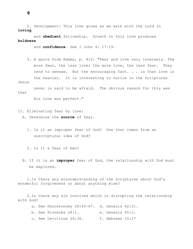2. Development: This love grows as we walk with the Lord in **loving**

and **obedient** fellowship. Growth in this love produces **boldness**

and **confidence**. See I John 4: 17-19.

3. A quote from Adams, p. 415: "Fear and love vary inversely. The more fear, the less love; the more love, the less fear. They tend to seesaw. But the encouraging fact. . . is that love is the heavier. It is interesting to notice in the Scriptures

never is said to be afraid. The obvious reason for this was that

His love was perfect."

II. Eliminating fear by love:

A. Determine the **source** of fear.

1. Is it an improper fear of God? One that comes from an unscriptural idea of God?

2. Is it a fear of men?

B. If it is an **improper** fear of God, the relationship with God must be explored.

1.Is there any misunderstanding of the Scriptures about God's wonderful forgiveness or about anything else?

2.Is there any sin involved which is disrupting the relationship with God?

a. See Deuteronomy 28:65-67. d. Genesis 42:21.

- b. See Proverbs 28:1. e. Genesis 45:3.
- c. See Leviticus 26:36. f. Hebrews 10:27

**9**

Jesus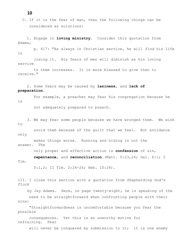C. If it is the fear of man, then the following things can be considered as solutions:

1. Engage in **loving ministry**. Consider this quotation from Adams,

p. 417: "As always in Christian service, he will *find* his life in

*losing* it. His fears of men will diminish as his loving service

to them increases. It is more blessed to give than to receive."

2. Some fears may be caused by **laziness**, and **lack of preparation**.

For example, a preacher may fear his congregation because he is

not adequately prepared to preach.

3. We may fear some people because we have wronged them. We wish to

avoid them because of the guilt that we feel. But avoidance only

makes things worse. Running and hiding is not the answer. The

only proper and effective action is **confession** of sin,

**repentance**, and **reconciliation**.(Matt. 5:23,24; Gal. 6:1; I Tim.

5:1,2; II Tim. 2:24-26; Heb. 10:24).

III. I close this section with a quotation from *Shepherding God's Flock*

by Jay Adams. Here, on page twenty-eight, he is speaking of the need to be straightforward when confronting people with their sins:

"Straightforwardness is uncomfortable because you fear the possible

consequences. Yet this is an unworthy motive for refraining. Fear

will never be conquered by submission to it; it is one enemy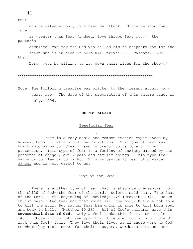# that

**11**

can be defeated only by a head-on attack. Since we know that love

is greater than fear (indeed, love throws fear out!), the pastor's

combined love for the God who called him to shepherd and for the

sheep who is in need of help will prevail. . .Pastors, like their

Lord, must be willing to lay down their lives for the sheep."

#### **\*\*\*\*\*\*\*\*\*\*\*\*\*\*\*\*\*\*\*\*\*\*\*\*\*\*\*\*\*\*\*\*\*\*\*\*\*\*\*\*\*\*\*\*\*\*\*\*\*\*\*\*\*\*\*\*\*\*\*\*\*\*\*\*\*\*\*\*\*\*\***

Note: The following treatise was written by the present author many years ago. The date of the preparation of this entire study is July, 1996.

#### **BE NOT AFRAID**

#### Beneficial Fear

Fear is a very basic and common emotion experienced by humans, both Christians and non-Christians. One type of fear was built into us by our Creator and is useful to us to aid in our protection. This type of fear is a feeling of anxiety caused by the presence of danger, evil, pain and similar things. This type fear warns us to flee or to fight. This is basically fear of physical danger and is very useful to us.

### Fear of the Lord

There is another type of fear that is absolutely essential for the child of God--the fear of the Lord. Solomon said that, "The fear of the Lord is the beginning of knowledge..." (Proverbs 1:7). Jesus Christ said. "And fear not them which kill the body, but are not able to kill the soul: But rather fear him which is able to kill both soul and body in hell." (Matthew 10:28). All of God's children have this **reverential fear of God**. Only a fool lacks this fear. See Psalm 14:1. Those who do not have spiritual life are foolishly blind and lack this Godly fear. They live their lives as if there were no God to Whom they must answer for their thoughts, words, attitudes, and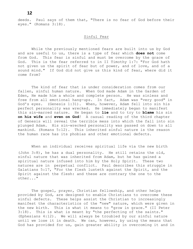**12**

deeds. Paul says of them that, "There is no fear of God before their eyes." (Romans 3:18).

# Sinful Fear

While the previously mentioned fears are built into us by God and are useful to us, there is a type of fear which **does not** come from God. This fear is sinful and must be overcome by the grace of God. This is the fear referred to in II Timothy 1:7: "For God hath not given us the spirit of fear but of power, and of love, and of a sound mind." If God did not give us this kind of fear, where did it come from?

The kind of fear that is under consideration comes from our fallen, sinful human nature. When God made Adam in the Garden of Eden, He made him a whole and complete person. He was sinless and free from all emotional hang-ups. In fact, Adam was "very good" in God's eyes. (Genesis 1:31). When, however, Adam fell into sin his perfect personality was wrecked. He immediately began to manifest this sin-marred nature. He began to **lie** and to try to **blame** his sin **on his wife** and **even on God**! A casual reading of the third chapter of Genesis will reveal the terrible mess into which the fall into sin plunged Adam. His sin-wrecked personality was passed on down to all mankind. (Romans 5:12). This inherited sinful nature is the reason the human race has its phobias and other emotional defects.

When an individual receives spiritual life via the new birth (John 3:8), he has a dual personality. He still retains the old, sinful nature that was inherited from Adam, but he has gained a spiritual nature infused into him by the Holy Spirit. These two natures are in perpetual conflict. Paul describes this struggle in Galatians 5:17, "For the flesh lusteth against the Spirit, and the Spirit against the flesh: and these are contrary the one to the other..."

The gospel, prayer, Christian fellowship, and other helps provided by God, are designed to enable Christians to overcome these sinful defects. These helps assist the Christian to increasingly manifest the characteristics of the "new" nature, which were given in the new birth. This is what it means to "grow in grace." (II Peter 3:18). This is what is meant by "the perfecting of the saints." (Ephesians 4:12). We will always be troubled by our sinful nature until we lose it in death. We can, however, by using the means that God has provided for us, gain greater ability in overcoming it and in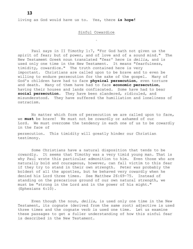living as God would have us to. Yes, there **is hope!**

#### Sinful Cowardice

Paul says in II Timothy 1:7, "For God hath not given us the spirit of fear; but of power, and of love and of a sound mind." The New Testamemt Greek noun translated "fear' here is *deilia*, and is used only one time in the New Testament. It means "fearfulness, timidity, cowardice." The truth contained here is very important. Christians are called upon to be brave and to even be willing to endure persecution for the sake of the gospel. Many of God's children have had to face **physical persecution**, even torture and death. Many of them have had to face **economic persecution**, having their houses and lands confiscated. Some have had to bear **social persecution**. They have been slandered, ridiculed, and misunderstood. They have suffered the humiliation and loneliness of ostracism.

No matter which form of persecution we are called upon to face, we **must** be brave! We must not be cowardly or ashamed of our Lord. We must overcome the tendency in each one of us to be cowardly in the face of

persecution. This timidity will greatly hinder our Christian testimony.

Some Christians have a natural disposition that tends to be cowardly. It seems that Timothy was a very timid young man. That is why Paul wrote this particular admonition to him. Even those who are naturally bold and courageous, however, can fall victim to this fear if they try to stand in their own strength. Peter was probably the boldest of all the apostles, but he behaved very cowardly when he denied his Lord three times. See Matthew 26:69-75. Instead of standing on the precarious ground of our own natural strength, we must be "strong in the Lord and in the power of his might." (Ephesians 6:10).

Even though the noun, *deilia*, is used only one time in the New Testament, its cognate (derived from the same root) adjective is used three times and the cognate verb is used one time. Let us examine these passages to get a fuller understanding of how this sinful fear is described in the New Testament.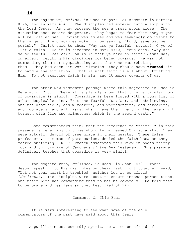The adjective, *deilos*, is used in parallel accounts in Matthew 8:26, and in Mark 4:40. The disciples had entered into a ship with the Lord Jesus. As they crossed the sea a great storm arose. The situation soon became desperate. They began to fear that they might all be lost at sea. Christ was asleep and was seemingly oblivious to the danger. The disciples woke Him by saying, "Lord, save us: we perish." Christ said to them, "Why are ye fearful (*deilos),* O ye of little faith?" As it is recorded in Mark 4:40, Jesus said, "Why are ye so fearful (*deilos)*? How is it that ye have no faith? Jesus was, in effect, rebuking His disciples for being cowards. He was not commending them nor sympathizing with them; He was rebuking them! They had seen Him work miracles--they should have **trusted** Him to handle the situation. That is what faith is all about--trusting Him. To not exercise faith is sin, and it makes cowards of us.

The other New Testament passage where this adjective is used is Revelation 21:8. There it is plainly shown that this particular form of cowardice is sinful. Cowardice is here listed with a long list of other despicable sins. "But the fearful (*deilos*), and unbelieving, and the abominable, and murderers, and whoremongers, and sorcerers, and idolaters, and all liars, shall have their part in the lake which burneth with fire and brimstone: which is the second death."

Some commentators think that the reference to "fearful" in this passage is referring to those who only professed Christianity. They were actually devoid of true grace in their hearts. These false professors, in times of persecution, denied the faith because they feared suffering. R. C. Trench advocates this view on pages thirtyfour and thirty-five of *Synonyms of the New Testament*. This passage definitely teaches that cowardice is very sinful.

The cognate verb, *deiliaoo*, is used in John 14:27. There Jesus, speaking to His disciples on their last night together, said, "Let not your heart be troubled, neither let it be afraid (*deiliaoo*). The disciples were about to endure intense persecutions, and their Lord was commanding them to not be cowardly. He told them to be brave and fearless as they testified of Him.

Comments On This Fear

It is very interesting to see what some of the able commentators of the past have said about this fear:

A pusillanimous, cowardly spirit, so as to be afraid of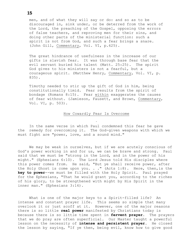men, and of what they will say or do: and so as to be discouraged in, sink under, or be deterred from the work of the Lord, the preaching of the Gospel, opposing the errors of false teachers, and reproving men for their sins, and doing other parts of the ministerial function: such a spirit is not from God, and such a fear brings a snare. (John Gill, Commentary, Vol. VI, p.625).

The great hindrance of usefulness in the increase of our gifts is slavish fear. It was through base fear that the evil servant buried his talent (Matt. 25:25). The spirit God gives to his ministers is not a fearful, but a courageous spirit. (Matthew Henry, Commentary, Vol. VI, p. 835).

Timothy needed to stir up the gift of God in him, being constitutionally timid. Fear results from the spirit of bondage (Romans 8:15). Fear within exaggerates the causes of fear without. (Jamieson, Fausett, and Brown, Commentary, Vol. VI, p. 503).

#### How Cowardly Fear Is Overcome

In the same verse in which Paul condemned this fear he gave the remedy for overcoming it. The God-given weapons with which we must fight are "power, love, and a sound mind."

We may be weak in ourselves, but if we are acutely conscious of God's power working in and for us, we can be brave and strong. Paul said that we must be "strong in the Lord, and in the power of his might." (Ephesians 6:10). The Lord Jesus told His disciples where this power comes from. He said, "But ye shall receive power, after the Holy Ghost is come upon you. . ." (Acts 1:8). Here, then,is the **key to power**--we must be filled with the Holy Spirit. Paul prayed for the Ephesians, "That he would grant you, according to the riches of his glory, to be strengthened with might by His Spirit in the inner man." (Ephesians 3:16).

What is one of the major keys to a Spirit-filled life? An intense and constant prayer life. This seems so simple that many overlook it or just scoff at it. However, one of the major reasons there is so little **real power** manifested by Christians today is because there is so little time spent in **fervent prayer**. The prayers that we do pray are often superficial. Our Master taught a powerful lesson on the necessity of **intense and persistent prayer**. He closed the lesson by saying, "If ye then, being evil, know how to give good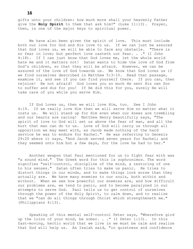gifts unto your children: how much more shall your heavenly Father give the **Holy Spirit** to them that ask him?" (Luke 11:13). Prayer, then, is one of the major keys to spiritual power.

We have also been given the spirit of love. This must include both our love for God and His love to us. If we can just be assured that God loves us, we will be able to face any obstacle. "There is no fear in love; but perfect love casteth out fear. . ." (I John 4:18). If I can just know that God loves me, let the whole world hate me and it matters not! Satan wants to hide the love of God from God's children, so that they will be afraid. However, we can be assured of the love of God towards us. We know that God loves us if we find ourselves described in Matthew 5:3-10. Read that passage, examine it, and see if you can find yourself there. If you can, then rejoice! Be not afraid! God loves you so much He sent His own Son to suffer and die for you! If He did this for you, surely He will take care of you while you serve Him.

If God loves us, then we will love Him, too. See I John 4:19. If we really love Him then we will serve Him no matter what it costs us. We will stand up for Him even when our knees are trembling and our hearts are racing! Matthew Henry beautifully says, "The spirit of love to God will set us above the fear of man, and all the hurt that man can do to us. Love of God will carry us through all opposition we may meet with, as Jacob made nothing of the hard service he was to endure for Rachel." He was referring to Genesis 29:20 where it says, "And Jacob served seven years for Rachel; and they seemed unto him but a few days, for the love he had to her."

Another weapon that Paul mentioned for us to fight fear with was "a sound mind." The Greek word for this is *sophronimos*. The word signifies "self-control, discipline of the mind, a restoring of one to his senses." Satan often tries to make us panic. He tries to distort things in our minds, and to make things look worse than they actually are. We have many enemies to our souls, both within and without. When we see how powerful our enemies are, and how difficult our problems are, we tend to panic, and to become paralyzed in our attempts to serve God. Paul tells us to get control of ourselves through the power of the Holy Spirit, to calm down, and to realize that we "can do all things through Christ which strengtheneth me." (Philippians 4:13).

Speaking of this mental self-control Peter says, "Wherefore gird up the loins of your mind, be sober. . ." (I Peter 1:13). In this fast-moving, hectic world that we live in we must be calm and realize that God will help us. As Isaiah said, "in quietness and confidence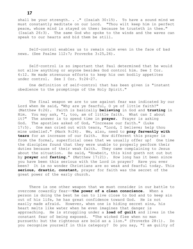shall be your strength. . ." (Isaiah 30:15). To have a sound mind we must constantly meditate on our Lord. "Thou wilt keep him in perfect peace, whose mind is stayed on thee: because he trusteth in thee." (Isaiah 26:3). The same God who spoke to the winds and the waves can speak to our hearts and bid them be still.

Self-control enables us to remain calm even in the face of bad news. (See Psalms 112:7; Proverbs 3:25,26).

Self-control is so important that Paul determined that he would not allow anything or anyone besides God control him. See I Cor. 6:12. He made strenuous efforts to keep his own bodily appetites under control. See I Cor. 9:24-27.

One definition of self-control that has been given is "instant obedience to the promptings of the Holy Spirit."

The final weapon we are to use against fear was indicated by our Lord when He said, "Why are ye fearful, O ye of little faith?" (Matthew 8:26). Faith is basically **believing** in God and **trusting** in Him. You may ask, "I, too, am of little faith. What can I about it?" The answer is to spend time in **prayer**. Prayer is asking God. The apostles asked of God, "Increase our faith." (Luke 17:5). One man cried out with tears, "Lord, I believe; help thou mine unbelief." (Mark 9:24). We, also, need to **pray fervently with tears** for an increase of our faith. How different this prayer is from the formal, superficial ones that we usually offer up! One time the disciples found that they were unable to properly perform their duties because of their weak faith. They came complaining to Jesus about the situation. He said, "Howbeit, this kind goeth not out but by **prayer** and **fasting**." (Matthew 17:21). How long has it been since you have been this serious with the Lord in prayer? Have you ever been? It is no wonder Christians are so weak and fearful today. This **serious**, **drastic**, **constant**, prayer for faith was the secret of the great power of the early church.

There is one other weapon that we must consider in our battle to overcome cowardly fear--**the power of a clean conscience**. When a person is doing the best he can to live close to God and to keep sin out of his life, he has great confidence toward God. He is not easily made afraid. However, when one is hiding secret sins, his heart melts like water when he even imagines that danger is approaching. He is struggling under a **load of guilt** and lives in the constant fear of being exposed. "The wicked flee when no man pursueth: but the righteous are bold as a lion." (Proverbs 28:1). Do you recognize yourself in this category? Do you say, "I am guilty of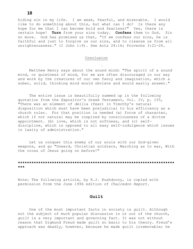hiding sin in my life. I am weak, fearful, and miserable. I would like to do something about this, but what can I do? Is there any hope for me that I can become bold and fearless?" Yes, there is certain hope! **Turn** from your sins today. **Confess** them to God. Sin no more. God has promised us that, "If we confess our sins, he is faithful and just to forgive us our sins, and to cleanse us from all unrighteousness." (I John 1:9). See Acts 24:16; Proverbs 3:21-26.

# **Conclusion**

Matthew Henry says about the sound mind: "The spirit of a sound mind, or quietness of mind, for we are often discouraged in our way and work by the creatures of our own fancy and imagination, which a sober, solid, thinking mind would obviate and would easily answer."

The entire issue is beautifully summed up in the following quotation from the *Expositor's Greek Testament*, Vol. IV, p. 155, "There was an element of *deilia* (fear) in Timothy's natural disposition which must have been prejudicial to his efficiency as a church ruler. For that position is needed (a) force of character, which if not natural may be inspired by consciousness of a divine appointment. (b) love, which is not softness, and (c) selfdiscipline, which is opposed to all easy self-indulgence which issues in laxity of administration."

Let us conquer this enemy of our souls with our God-given weapons, and go "Onward, Christian soldiers, Marching as to war, With the cross of Jesus going on before!"

# **\*\*\*\*\*\*\*\*\*\*\*\*\*\*\*\*\*\*\*\*\*\*\*\*\*\*\*\*\*\*\*\*\*\*\*\*\*\*\*\*\*\*\*\*\*\*\*\*\*\*\*\*\*\*\*\*\*\*\*\*\*\*\*\*\*\*\*\*\* \*\*\***

Note: The following article, by R.J. Rushdoony, is copied with permission from the June 1996 edition of *Chalcedon Report.*

#### **Guilt**

One of the most important facts in society is *guilt*. Although not the subject of much popular discussion in or out of the church, *guilt* is a very important and governing fact. It was not without reason that Sigmund Freud made *guilt* so basic to his theory. Freud's approach was deadly, however, because he made guilt irremovable; he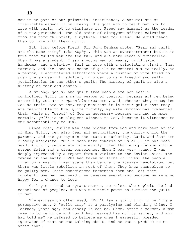saw it as part of our primordial inheritance, a natural and an irradicable aspect of our being. His goal was to teach men how to live with guilt, not to eliminate it. Freud saw himself as the leader of a new priesthood. The old order of clergymen offered salvation from *sin* through Christ, a mythical idea for Freud. He would teach them to live with their guilt.

But, long before Freud, Sir John Denham wrote, "Fear and guilt are the same thing" (*The Sophy).* This was an overstatement; but it is true that guilty men are fearful, and are more readily controlled. When I was a student, I saw a young man of means, profligate, handsome, and a playboy, fall in love with a calculating virgin. They married, and she used his sense of guilt to control him radically. As a pastor, I encountered situations where a husband or wife tried to push the spouse into adultery in order to gain freedom and selfjustification in the other's guilt. The history of guilt is also a history of fear and control.

A strong, godly, and guilt-free people are not easily controlled. Guilt is a major weapon of control, because all men being created by God are *responsible* creatures, and, whether they recognize God as their Lord or not, they manifest it in their guilt that they are responsible to Him. Quite rightly, my wife Dorothy has commented that, while no "proof" of God is necessary because nothing is more certain, *guilt* is an eloquent witness to God, because it witnesses to our accountability to Him.

Since Eden, guilty men have hidden from God and have been afraid of Him. Guilty men also fear all authorities, the guilty child the parents, and the guilty man the state's authority. Guilt and fear are closely associate. "Guilt doth make cowards of us all," it has been said. A guilty people are more easily ruled than a population with a strong faith and a clear conscience. When I was very young, I was deeply impressed by a report from a visitor to the Soviet Union. The famine in the early 1920s had taken millions of lives; the people lived on a vastly lower scale than before the Russian revolution, but there was little rebellion in most of them. They knew themselves to be guilty men. Their consciences tormented them and left them impotent. One man had said , we deserve everything because we were so happy for a chance to loot.

Guilty men lead to tyrant states, to rulers who exploit the bad conscience of peoples, and who use their power to further the guilt of men.

The expression often used, "Don't lay a guilt trip on me," is a perceptive one. A "guilt trip" is a paralyzing and blinding thing. I learned, years ago, how deadly it can be. Once, after a sermon, a man came up to me to demand how I had learned his guilty secret, and who had told me? He refused to believe me when I earnestly pleaded ignorance of what he was talking about, and he was a problem to me after that.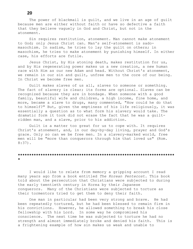The power of blackmail is quilt, and we live in an age of quilt because men are either without faith or have so defective a faith that they believe vaguely in God and Christ, but not in the atonement.

Sin requires restitution, atonement. Man cannot make atonement to God; only Jesus Christ can. Man's self-atonement is sadomasochism. In sadism, he tries to lay the guilt on others; in masochism, he tries to make atonement by punishing himself. In either case, his efforts are futile.

Jesus Christ, by His atoning death, makes restitution for us, and by His regenerating power makes us a new creation, a new human race with Him as our new Adam and head. Without Christ's atonement, we remain in our sin and guilt, unfree men to the core of our being. In Christ we become free men.

Guilt makes slaves of us all, slaves to someone or something. The fact of slavery is clear; its forms are optional. Slaves can be recognized because they are in bondage. When someone with a good family, beautiful wife and children, a high income, fine home, and more, became a slave to drugs, many commented, "How could he do that to himself?" But, given the emptiness of his life religiously, it was essentially a question as to what form his slavery would take. The dramatic form it took did not erase the fact that he was a guiltridden man, and a slave, prior to his addiction.

Guilt is a matter too great for us to cope with. It requires Christ's atonement, and, in our day-by-day living, prayer and God's grace. Only so can we be free men. In a slavery-marked world, free men will be "more than conquerors through him that loved us" (Rom. 8:37).

#### **\*\*\*\*\*\*\*\*\*\*\*\*\*\*\*\*\*\*\*\*\*\*\*\*\*\*\*\*\*\*\*\*\*\*\*\*\*\*\*\*\*\*\*\*\*\*\*\*\*\*\*\*\*\*\*\*\*\*\*\*\*\*\*\*\*\*\*\*\* \***

I would like to relate from memory a gripping account I read many years ago from a book entitled *The Korean Pentecost*. This book told about the persecution that Christians were subjected to during the early twentieth century in Korea by their Japanese conquerors. Many of the Christians were subjected to torture as their tormentors tried to get them to deny their faith.

One man in particular had been very strong and brave. He had been repeatedly tortured, but he had been blessed to remain firm in his convictions. However, he allowed something to break his close fellowship with his Lord. In some way he compromised his conscience. The next time he was subjected to torture he had no strength and almost immediately broke and denied his faith. This is a frightening example of how sin makes us weak and unable to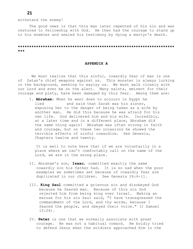withstand the enemy!

The good news is that this man later repented of his sin and was restored to fellowship with God. He then had the courage to stand up to his enemies and sealed his testimony by dying a martyr's death.

## **\*\*\*\*\*\*\*\*\*\*\*\*\*\*\*\*\*\*\*\*\*\*\*\*\*\*\*\*\*\*\*\*\*\*\*\*\*\*\*\*\*\*\*\*\*\*\*\*\*\*\*\*\*\*\*\*\*\*\*\*\*\*\*\*\*\*\*\*\* \*\*\***

#### **APPENDIX A**

We must realize that this sinful, cowardly fear of man is one of Satan's chief weapons against us. This monster is always lurking in the background, seeking to waylay us. We must walk closely with our Lord and ever be on the alert. Many saints, eminent for their courage and piety, have been damaged by this fear. Among them are:

I. **Abraham**: When he went down to sojourn in Egypt he lied and said that Sarah was his sister, exposing her to the danger of being taken as a wife by another man. He did this because he was afraid for his own life. God delivered him and his wife. Incredibly, at a later time and in a different place, Abraham did the same thing again! Abraham was often strong in faith and courage, but on these two occasions he showed the terrible effects of sinful cowardice. See Genesis, Chapters twelve and twenty.

It is well to note here that if we are voluntarily in a place where we can't comfortably call on the name of the Lord, we are in the wrong place.

- II. Abraham's son, **Isaac**, committed exactly the same cowardly sin his father had. It is so sad when the poor examples we sometimes set because of cowardly fear are duplicated in our children. See Genesis 26:6-11.
- III. **King Saul** committed a grievous sin and disobeyed God because he feared man. Because of this sin God rejected him from being king over Israel. Making an excuse for his sin Saul said, "I have transgressed the commandment of the Lord, and thy words, because I feared the people, and obeyed their voice." (I Samuel 15:24).
- IV. **Peter** is one that we normally associate with great courage. He was not a habitual coward. He boldly tried to defend Jesus when the soldiers approached Him in the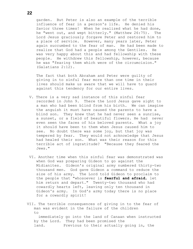garden. But Peter is also an example of the terrible influence of fear in a person's life. He denied his Savior three times! When he realized what he had done, he "went out, and wept bitterly." (Matthew 26:75). The Lord Jesus graciously forgave Peter and restored him to a place of service. However, many years later, Peter again succumbed to the fear of man. He had been made to realize that God had a people among the Gentiles. He was very happy about this and had fellowship with these people. He withdrew this fellowship, however, because he was "fearing them which were of the circumcision." (Galatians 2:12).

The fact that both Abraham and Peter were guilty of giving in to sinful fear more than one time in their lives should make us aware that we will have to guard against this tendency for our entire lives.

- V. There is a very sad instance of this sinful fear recorded in John 9. There the Lord Jesus gave sight to a man who had been blind from his birth. We can imagine the anguish it must have caused the parents to have a blind son. They knew that he had never seen a sunrise, a sunset, or a field of beautiful flowers. He had never even seen the faces of his beloved parents. What a joy it should have been to them when Jesus caused him to see. No doubt there was some joy, but that joy was tempered by fear. They would not acknowledge that Jesus had healed their son. What was their reason for this terrible act of ingratitude? "Because they feared the Jews."
- VI. Another time when this sinful fear was demonstrated was when God was preparing Gideon to go against the Midianites. Gideon's original army numbered thirty-two thousand men. God gave Gideon a command to reduce the size of his army. The Lord told Gideon to proclaim to the people that "whosoever is **fearful and afraid**, let him return and depart." Twenty-two thousand who had cowardly hearts left, leaving only ten thousand in Gideon's army. In God's army today there is no place for a cowardly spirit!

VII. The terrible consequences of giving in to the fear of man was evident in the failure of the children to immediately go into the land of Canaan when instructed by the Lord. They had been promised the land. Previous to their actually going in, the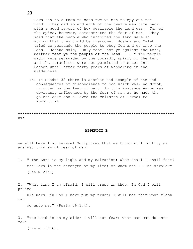Lord had told them to send twelve men to spy out the land. They did so and each of the twelve men came back with a good report of how desirable the land was. Ten of the spies, however, demonstrated the fear of man. They said that the people who inhabited the land were so strong that they could be overcome. Joshua and Caleb tried to persuade the people to obey God and go into the land. Joshua said, "Only rebel not ye against the Lord, neither **fear ye the people of the land**. . . " The people sadly were persuaded by the cowardly spirit of the ten, and the Israelites were not permitted to enter into Canaan until after forty years of wandering in the wilderness.

IX. In Exodus 32 there is another sad example of the sad consequences of disobedience to God which was, no doubt, prompted by the fear of man. In this instance Aaron was obviously influenced by the fear of man as he made the golden calf and allowed the children of Israel to worship it.

**\*\*\*\*\*\*\*\*\*\*\*\*\*\*\*\*\*\*\*\*\*\*\*\*\*\*\*\*\*\*\*\*\*\*\*\*\*\*\*\*\*\*\*\*\*\*\*\*\*\*\*\*\*\*\*\*\*\*\*\*\*\*\*\*\*\*\*\*\* \*\*\***

#### **APPENDIX B**

We will here list several Scriptures that we trust will fortify us against this awful fear of man:

1. " The Lord is my light and my salvation; whom shall I shall fear? the Lord is the strength of my life; of whom shall I be afraid?" (Psalm 27:1).

2. "What time I am afraid, I will trust in thee. In God I will praise

His word, in God I have put my trust; I will not fear what flesh can

do unto me." (Psalm 56:3,4).

3. "The Lord is on my side; I will not fear: what can man do unto me?"

(Psalm 118:6).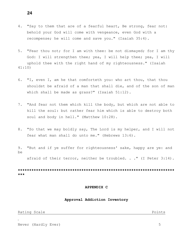- 4. "Say to them that are of a fearful heart, Be strong, fear not: behold your God will come with vengeance, even God with a recompense; he will come and save you." (Isaiah 35:4).
- 5. "Fear thou not; for I am with thee: be not dismayed; for I am thy God: I will strengthen thee; yea, I will help thee; yea, I will uphold thee with the right hand of my righteousness." (Isaiah 41:10)
- 6. "I, even I, am he that comforteth you: who art thou, that thou shouldst be afraid of a man that shall die, and of the son of man which shall be made as grass?" (Isaiah 51:12).
- 7. "And fear not them which kill the body, but which are not able to kill the soul: but rather fear him which is able to destroy both soul and body in hell." (Matthew 10:28).
- 8. "So that we may boldly say, The Lord is my helper, and I will not fear what man shall do unto me." (Hebrews 13:6).
- 9. "But and if ye suffer for righteousness' sake, happy are ye: and be

afraid of their terror, neither be troubled. . ." (I Peter 3:14).

**\*\*\*\*\*\*\*\*\*\*\*\*\*\*\*\*\*\*\*\*\*\*\*\*\*\*\*\*\*\*\*\*\*\*\*\*\*\*\*\*\*\*\*\*\*\*\*\*\*\*\*\*\*\*\*\*\*\*\*\*\*\*\*\*\*\*\*\*\* \*\*\***

#### **APPENDIX C**

#### **Approval Addiction Inventory**

Never (Hardly Ever) 5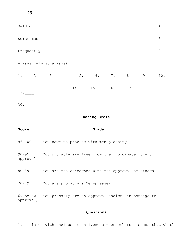**25**

| Seldom                 |  |  |                                                       |  |  |  |  | $\overline{4}$ |
|------------------------|--|--|-------------------------------------------------------|--|--|--|--|----------------|
| Sometimes              |  |  |                                                       |  |  |  |  | 3              |
| Frequently             |  |  |                                                       |  |  |  |  | $\overline{2}$ |
| Always (Almost always) |  |  |                                                       |  |  |  |  | $\mathbf 1$    |
|                        |  |  | 1. 2. 3. 4. 5. 6. 7. 8. 9. 10.                        |  |  |  |  |                |
| 19.                    |  |  | $11.$ $12.$ $13.$ $14.$ $15.$ $16.$ $17.$ $18.$ $18.$ |  |  |  |  |                |
| 20.                    |  |  |                                                       |  |  |  |  |                |

# **Rating Scale**

# **Score Grade**

96-100 You have no problem with men-pleasing.

90-95 You probably are free from the inordinate love of approval.

80-89 You are too concerned with the approval of others.

70-79 You are probably a Men-pleaser.

69-below You probably are an approval addict (in bondage to approval).

# **Questions**

1. I listen with anxious attentiveness when others discuss that which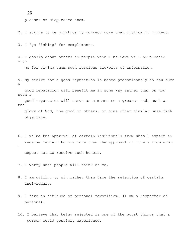pleases or displeases them.

2. I strive to be politically correct more than biblically correct.

3. I "go fishing" for compliments.

4. I gossip about others to people whom I believe will be pleased with

me for giving them such luscious tid-bits of information.

5. My desire for a good reputation is based predominantly on how such a

good reputation will benefit me in some way rather than on how such a

good reputation will serve as a means to a greater end, such as the

glory of God, the good of others, or some other similar unselfish objective.

6. I value the approval of certain individuals from whom I expect to receive certain honors more than the approval of others from whom  $\mathsf{T}$ 

expect not to receive such honors.

- 7. I worry what people will think of me.
- 8. I am willing to sin rather than face the rejection of certain individuals.
- 9. I have an attitude of personal favoritism. (I am a respecter of persons).
- 10. I believe that being rejected is one of the worst things that a person could possibly experience.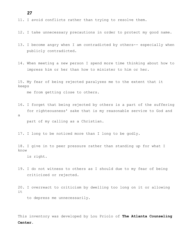# **27**

- 11. I avoid conflicts rather than trying to resolve them.
- 12. I take unnecessary precautions in order to protect my good name.
- 13. I become angry when I am contradicted by others-- especially when publicly contradicted.
- 14. When meeting a new person I spend more time thinking about how to impress him or her than how to minister to him or her.

15. My fear of being rejected paralyzes me to the extent that it keeps

me from getting close to others.

16. I forget that being rejected by others is a part of the suffering for righteousness' sake that is my reasonable service to God and a

part of my calling as a Christian.

17. I long to be noticed more than I long to be godly.

18. I give in to peer pressure rather than standing up for what I know

is right.

- 19. I do not witness to others as I should due to my fear of being criticized or rejected.
- 20. I overreact to criticism by dwelling too long on it or allowing it

to depress me unnecessarily.

This inventory was developed by Lou Priolo of **The Atlanta Counseling Center**.